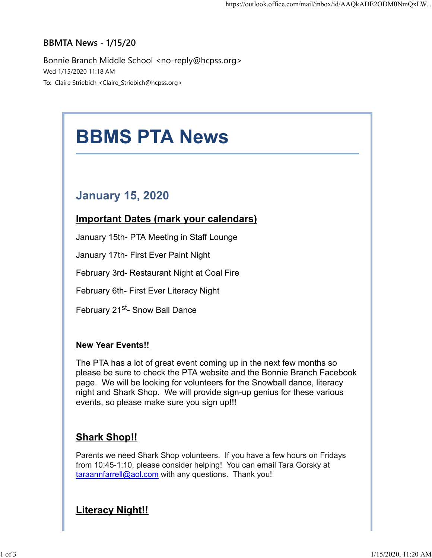## BBMTA News - 1/15/20

Bonnie Branch Middle School <no-reply@hcpss.org> Wed 1/15/2020 11:18 AM To: Claire Striebich <Claire\_Striebich@hcpss.org>



please be sure to check the PTA website and the Bonnie Branch Facebook page. We will be looking for volunteers for the Snowball dance, literacy night and Shark Shop. We will provide sign-up genius for these various events, so please make sure you sign up!!!

## Shark Shop!!

Parents we need Shark Shop volunteers. If you have a few hours on Fridays from 10:45-1:10, please consider helping! You can email Tara Gorsky at taraannfarrell@aol.com with any questions. Thank you!

## **Literacy Night!!**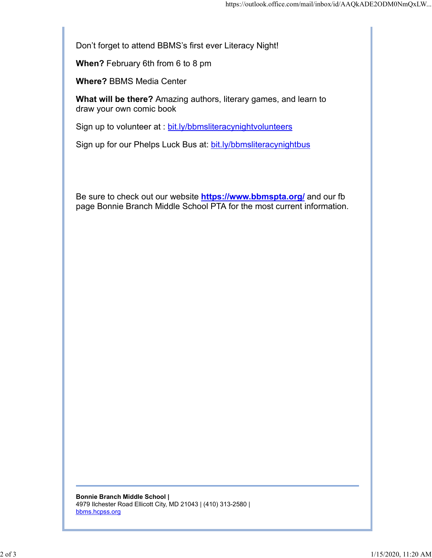Don't forget to attend BBMS's first ever Literacy Night!

When? February 6th from 6 to 8 pm

Where? BBMS Media Center

What will be there? Amazing authors, literary games, and learn to draw your own comic book

Sign up to volunteer at : bit.ly/bbmsliteracynightvolunteers

Sign up for our Phelps Luck Bus at: bit.ly/bbmsliteracynightbus

Be sure to check out our website **https://www.bbmspta.org/** and our fb page Bonnie Branch Middle School PTA for the most current information.

Bonnie Branch Middle School | 4979 Ilchester Road Ellicott City, MD 21043 | (410) 313-2580 | bbms.hcpss.org